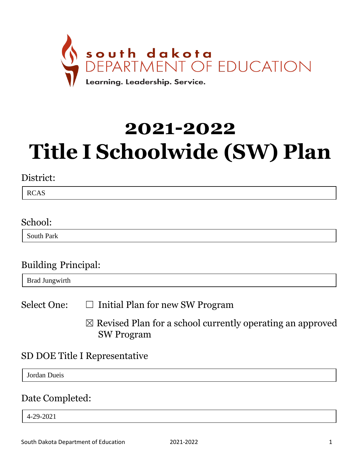

# **2021-2022 Title I Schoolwide (SW) Plan**

#### District:

RCAS

#### School:

South Park

### Building Principal:

Brad Jungwirth

Select One:  $\Box$  Initial Plan for new SW Program

 $\boxtimes$  Revised Plan for a school currently operating an approved SW Program

### SD DOE Title I Representative

Jordan Dueis

#### Date Completed:

4-29-2021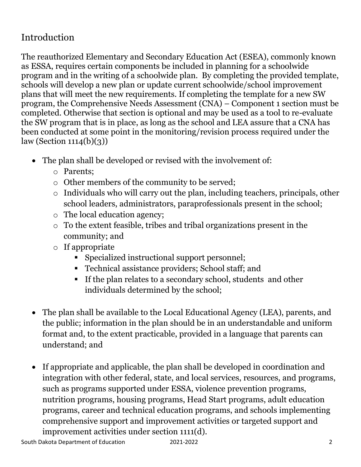## Introduction

The reauthorized Elementary and Secondary Education Act (ESEA), commonly known as ESSA, requires certain components be included in planning for a schoolwide program and in the writing of a schoolwide plan. By completing the provided template, schools will develop a new plan or update current schoolwide/school improvement plans that will meet the new requirements. If completing the template for a new SW program, the Comprehensive Needs Assessment (CNA) – Component 1 section must be completed. Otherwise that section is optional and may be used as a tool to re-evaluate the SW program that is in place, as long as the school and LEA assure that a CNA has been conducted at some point in the monitoring/revision process required under the  $law$  (Section 1114(b)(3))

- The plan shall be developed or revised with the involvement of:
	- o Parents;
	- o Other members of the community to be served;
	- o Individuals who will carry out the plan, including teachers, principals, other school leaders, administrators, paraprofessionals present in the school;
	- o The local education agency;
	- o To the extent feasible, tribes and tribal organizations present in the community; and
	- o If appropriate
		- Specialized instructional support personnel;
		- **•** Technical assistance providers; School staff; and
		- If the plan relates to a secondary school, students and other individuals determined by the school;
- The plan shall be available to the Local Educational Agency (LEA), parents, and the public; information in the plan should be in an understandable and uniform format and, to the extent practicable, provided in a language that parents can understand; and
- If appropriate and applicable, the plan shall be developed in coordination and integration with other federal, state, and local services, resources, and programs, such as programs supported under ESSA, violence prevention programs, nutrition programs, housing programs, Head Start programs, adult education programs, career and technical education programs, and schools implementing comprehensive support and improvement activities or targeted support and improvement activities under section 1111(d).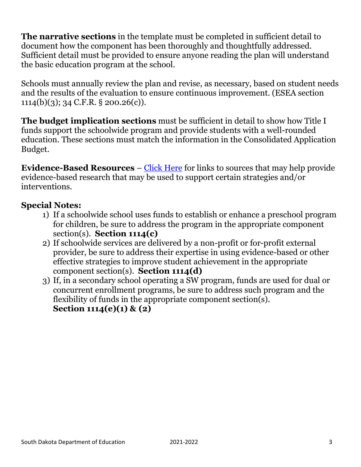**The narrative sections** in the template must be completed in sufficient detail to document how the component has been thoroughly and thoughtfully addressed. Sufficient detail must be provided to ensure anyone reading the plan will understand the basic education program at the school.

Schools must annually review the plan and revise, as necessary, based on student needs and the results of the evaluation to ensure continuous improvement. (ESEA section 1114(b)(3); 34 C.F.R. § 200.26(c)).

**The budget implication sections** must be sufficient in detail to show how Title I funds support the schoolwide program and provide students with a well-rounded education. These sections must match the information in the Consolidated Application Budget.

**Evidence-Based Resources** – Click Here for links to sources that may help provide evidence-based research that may be used to support certain strategies and/or interventions.

#### **Special Notes:**

- 1) If a schoolwide school uses funds to establish or enhance a preschool program for children, be sure to address the program in the appropriate component section(s). **Section 1114(c)**
- 2) If schoolwide services are delivered by a non-profit or for-profit external provider, be sure to address their expertise in using evidence-based or other effective strategies to improve student achievement in the appropriate component section(s). **Section 1114(d)**
- 3) If, in a secondary school operating a SW program, funds are used for dual or concurrent enrollment programs, be sure to address such program and the flexibility of funds in the appropriate component section(s). **Section 1114(e)(1) & (2)**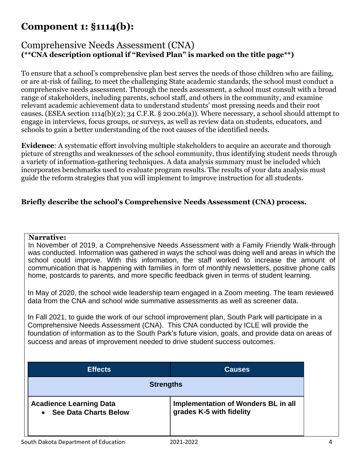#### Comprehensive Needs Assessment (CNA) **(\*\*CNA description optional if "Revised Plan" is marked on the title page\*\*)**

To ensure that a school's comprehensive plan best serves the needs of those children who are failing, or are at-risk of failing, to meet the challenging State academic standards, the school must conduct a comprehensive needs assessment. Through the needs assessment, a school must consult with a broad range of stakeholders, including parents, school staff, and others in the community, and examine relevant academic achievement data to understand students' most pressing needs and their root causes. (ESEA section 1114(b)(2); 34 C.F.R. § 200.26(a)). Where necessary, a school should attempt to engage in interviews, focus groups, or surveys, as well as review data on students, educators, and schools to gain a better understanding of the root causes of the identified needs.

**Evidence**: A systematic effort involving multiple stakeholders to acquire an accurate and thorough picture of strengths and weaknesses of the school community, thus identifying student needs through a variety of information-gathering techniques. A data analysis summary must be included which incorporates benchmarks used to evaluate program results. The results of your data analysis must guide the reform strategies that you will implement to improve instruction for all students.

#### **Briefly describe the school's Comprehensive Needs Assessment (CNA) process.**

#### **Narrative:**

In November of 2019, a Comprehensive Needs Assessment with a Family Friendly Walk-through was conducted. Information was gathered in ways the school was doing well and areas in which the school could improve. With this information, the staff worked to increase the amount of communication that is happening with families in form of monthly newsletters, positive phone calls home, postcards to parents, and more specific feedback given in terms of student learning.

In May of 2020, the school wide leadership team engaged in a Zoom meeting. The team reviewed data from the CNA and school wide summative assessments as well as screener data.

In Fall 2021, to guide the work of our school improvement plan, South Park will participate in a Comprehensive Needs Assessment (CNA). This CNA conducted by ICLE will provide the foundation of information as to the South Park's future vision, goals, and provide data on areas of success and areas of improvement needed to drive student success outcomes.

| <b>Effects</b>                                                              | <b>Causes</b>                                                   |  |
|-----------------------------------------------------------------------------|-----------------------------------------------------------------|--|
| <b>Strengths</b>                                                            |                                                                 |  |
| <b>Acadience Learning Data</b><br><b>See Data Charts Below</b><br>$\bullet$ | Implementation of Wonders BL in all<br>grades K-5 with fidelity |  |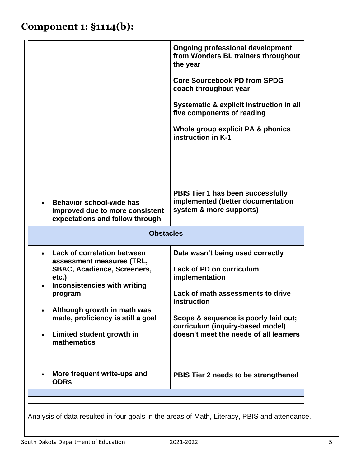|                                                                                                                                                                                                                                                                                  | <b>Ongoing professional development</b><br>from Wonders BL trainers throughout<br>the year<br><b>Core Sourcebook PD from SPDG</b><br>coach throughout year<br>Systematic & explicit instruction in all<br>five components of reading<br>Whole group explicit PA & phonics<br>instruction in K-1 |
|----------------------------------------------------------------------------------------------------------------------------------------------------------------------------------------------------------------------------------------------------------------------------------|-------------------------------------------------------------------------------------------------------------------------------------------------------------------------------------------------------------------------------------------------------------------------------------------------|
| <b>Behavior school-wide has</b><br>improved due to more consistent<br>expectations and follow through<br><b>Obstacles</b>                                                                                                                                                        | PBIS Tier 1 has been successfully<br>implemented (better documentation<br>system & more supports)                                                                                                                                                                                               |
| <b>Lack of correlation between</b><br>assessment measures (TRL,<br><b>SBAC, Acadience, Screeners,</b><br>etc.)<br><b>Inconsistencies with writing</b><br>program<br>Although growth in math was<br>made, proficiency is still a goal<br>Limited student growth in<br>mathematics | Data wasn't being used correctly<br><b>Lack of PD on curriculum</b><br>implementation<br>Lack of math assessments to drive<br>instruction<br>Scope & sequence is poorly laid out;<br>curriculum (inquiry-based model)<br>doesn't meet the needs of all learners                                 |
| More frequent write-ups and<br><b>ODRs</b>                                                                                                                                                                                                                                       | PBIS Tier 2 needs to be strengthened                                                                                                                                                                                                                                                            |

Analysis of data resulted in four goals in the areas of Math, Literacy, PBIS and attendance.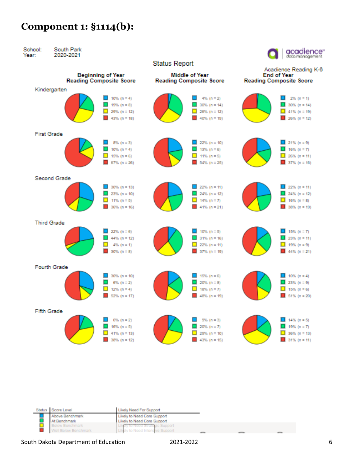

| Status Score Level   | Likely Need For Support          |  |  |
|----------------------|----------------------------------|--|--|
| Above Benchmark      | Likely to Need Core Support      |  |  |
| At Benchmark         | Likely to Need Core Support      |  |  |
| Below Benchmark      | Likely to Need Strategic Support |  |  |
| Well Below Benchmark | Likely to Need Intensive Support |  |  |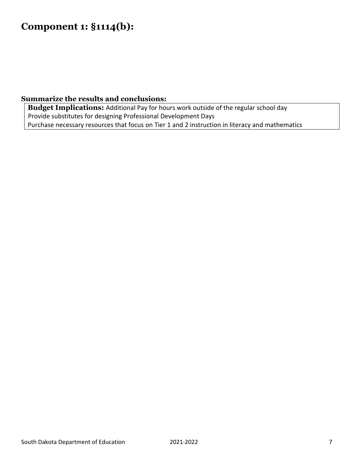#### **Summarize the results and conclusions:**

**Budget Implications:** Additional Pay for hours work outside of the regular school day Provide substitutes for designing Professional Development Days Purchase necessary resources that focus on Tier 1 and 2 instruction in literacy and mathematics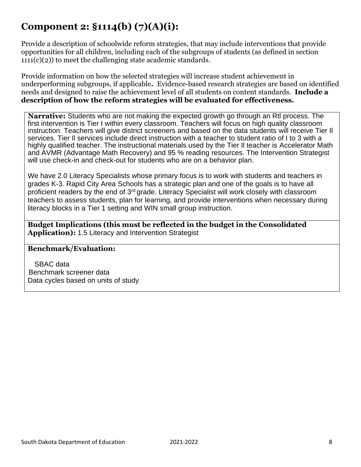## **Component 2: §1114(b) (7)(A)(i):**

Provide a description of schoolwide reform strategies, that may include interventions that provide opportunities for all children, including each of the subgroups of students (as defined in section  $1111(c)(2)$  to meet the challenging state academic standards.

Provide information on how the selected strategies will increase student achievement in underperforming subgroups, if applicable**.** Evidence-based research strategies are based on identified needs and designed to raise the achievement level of all students on content standards. **Include a description of how the reform strategies will be evaluated for effectiveness.**

**Narrative:** Students who are not making the expected growth go through an Rtl process. The first intervention is Tier I within every classroom. Teachers will focus on high quality classroom instruction. Teachers will give district screeners and based on the data students will receive Tier Il services. Tier Il services include direct instruction with a teacher to student ratio of I to 3 with a highly qualified teacher. The instructional materials used by the Tier Il teacher is Accelerator Math and AVMR (Advantage Math Recovery) and 95 % reading resources. The Intervention Strategist will use check-in and check-out for students who are on a behavior plan.

We have 2.0 Literacy Specialists whose primary focus is to work with students and teachers in grades K-3. Rapid City Area Schools has a strategic plan and one of the goals is to have all proficient readers by the end of 3rd grade. Literacy Specialist will work closely with classroom teachers to assess students, plan for learning, and provide interventions when necessary during literacy blocks in a Tier 1 setting and WIN small group instruction.

**Budget Implications (this must be reflected in the budget in the Consolidated Application):** 1.5 Literacy and Intervention Strategist

#### **Benchmark/Evaluation:**

SBAC data Benchmark screener data Data cycles based on units of study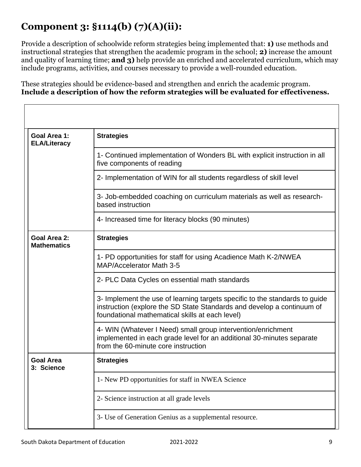## **Component 3: §1114(b) (7)(A)(ii):**

Provide a description of schoolwide reform strategies being implemented that: **1)** use methods and instructional strategies that strengthen the academic program in the school; **2)** increase the amount and quality of learning time; **and 3)** help provide an enriched and accelerated curriculum, which may include programs, activities, and courses necessary to provide a well-rounded education.

These strategies should be evidence-based and strengthen and enrich the academic program. **Include a description of how the reform strategies will be evaluated for effectiveness.**

| Goal Area 1:<br><b>ELA/Literacy</b>       | <b>Strategies</b>                                                                                                                                                                                        |  |  |
|-------------------------------------------|----------------------------------------------------------------------------------------------------------------------------------------------------------------------------------------------------------|--|--|
|                                           | 1- Continued implementation of Wonders BL with explicit instruction in all<br>five components of reading                                                                                                 |  |  |
|                                           | 2- Implementation of WIN for all students regardless of skill level                                                                                                                                      |  |  |
|                                           | 3- Job-embedded coaching on curriculum materials as well as research-<br>based instruction                                                                                                               |  |  |
|                                           | 4- Increased time for literacy blocks (90 minutes)                                                                                                                                                       |  |  |
| <b>Goal Area 2:</b><br><b>Mathematics</b> | <b>Strategies</b>                                                                                                                                                                                        |  |  |
|                                           | 1- PD opportunities for staff for using Acadience Math K-2/NWEA<br>MAP/Accelerator Math 3-5                                                                                                              |  |  |
|                                           | 2- PLC Data Cycles on essential math standards                                                                                                                                                           |  |  |
|                                           | 3- Implement the use of learning targets specific to the standards to guide<br>instruction (explore the SD State Standards and develop a continuum of<br>foundational mathematical skills at each level) |  |  |
|                                           | 4- WIN (Whatever I Need) small group intervention/enrichment<br>implemented in each grade level for an additional 30-minutes separate<br>from the 60-minute core instruction                             |  |  |
| <b>Goal Area</b><br>3: Science            | <b>Strategies</b>                                                                                                                                                                                        |  |  |
|                                           | 1- New PD opportunities for staff in NWEA Science                                                                                                                                                        |  |  |
|                                           | 2- Science instruction at all grade levels                                                                                                                                                               |  |  |
|                                           | 3- Use of Generation Genius as a supplemental resource.                                                                                                                                                  |  |  |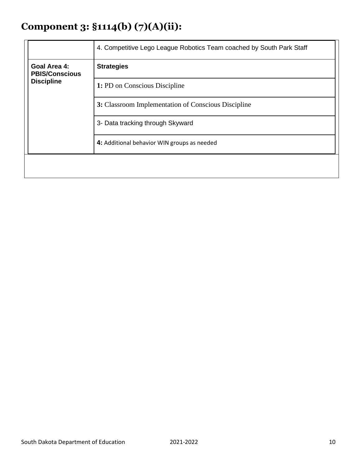## **Component 3: §1114(b) (7)(A)(ii):**

|                                                                   | 4. Competitive Lego League Robotics Team coached by South Park Staff |
|-------------------------------------------------------------------|----------------------------------------------------------------------|
| <b>Goal Area 4:</b><br><b>PBIS/Conscious</b><br><b>Discipline</b> | <b>Strategies</b>                                                    |
|                                                                   | 1: PD on Conscious Discipline                                        |
|                                                                   | 3: Classroom Implementation of Conscious Discipline                  |
|                                                                   | 3- Data tracking through Skyward                                     |
|                                                                   | 4: Additional behavior WIN groups as needed                          |
|                                                                   |                                                                      |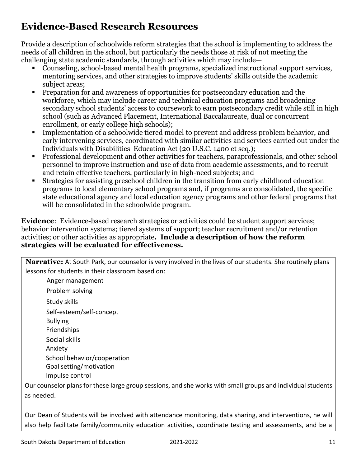## **Evidence-Based Research Resources**

Provide a description of schoolwide reform strategies that the school is implementing to address the needs of all children in the school, but particularly the needs those at risk of not meeting the challenging state academic standards, through activities which may include—

- Counseling, school-based mental health programs, specialized instructional support services, mentoring services, and other strategies to improve students' skills outside the academic subject areas;
- Preparation for and awareness of opportunities for postsecondary education and the workforce, which may include career and technical education programs and broadening secondary school students' access to coursework to earn postsecondary credit while still in high school (such as Advanced Placement, International Baccalaureate, dual or concurrent enrollment, or early college high schools);
- Implementation of a schoolwide tiered model to prevent and address problem behavior, and early intervening services, coordinated with similar activities and services carried out under the Individuals with Disabilities Education Act (20 U.S.C. 1400 et seq.);
- Professional development and other activities for teachers, paraprofessionals, and other school personnel to improve instruction and use of data from academic assessments, and to recruit and retain effective teachers, particularly in high-need subjects; and
- Strategies for assisting preschool children in the transition from early childhood education programs to local elementary school programs and, if programs are consolidated, the specific state educational agency and local education agency programs and other federal programs that will be consolidated in the schoolwide program.

**Evidence**: Evidence-based research strategies or activities could be student support services; behavior intervention systems; tiered systems of support; teacher recruitment and/or retention activities; or other activities as appropriate**. Include a description of how the reform strategies will be evaluated for effectiveness.**

**Narrative:** At South Park, our counselor is very involved in the lives of our students. She routinely plans lessons for students in their classroom based on:

Anger management Problem solving Study skills Self-esteem/self-concept Bullying Friendships Social skills Anxiety School behavior/cooperation Goal setting/motivation Impulse control

Our counselor plans for these large group sessions, and she works with small groups and individual students as needed.

Our Dean of Students will be involved with attendance monitoring, data sharing, and interventions, he will also help facilitate family/community education activities, coordinate testing and assessments, and be a